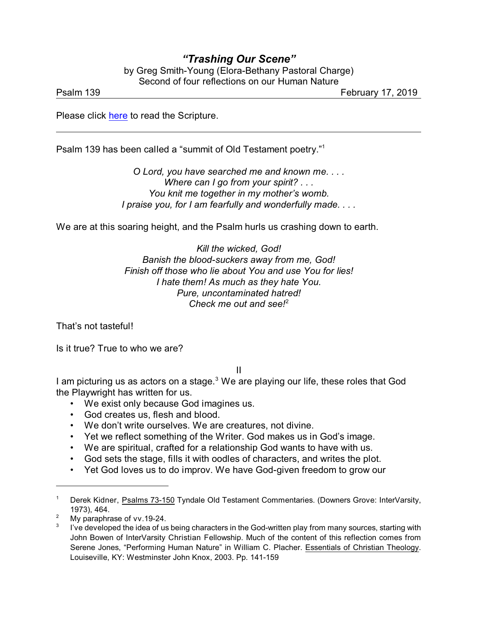## *"Trashing Our Scene"*

by Greg Smith-Young (Elora-Bethany Pastoral Charge) Second of four reflections on our Human Nature

Psalm 139 February 17, 2019

Please click [here](https://www.biblegateway.com/passage/?search=Psalm+139&version=NRSV) to read the Scripture.

Psalm 139 has been called a "summit of Old Testament poetry."<sup>1</sup>

*O Lord, you have searched me and known me. . . . Where can I go from your spirit? . . . You knit me together in my mother's womb. I praise you, for I am fearfully and wonderfully made. . . .*

We are at this soaring height, and the Psalm hurls us crashing down to earth.

*Kill the wicked, God! Banish the blood-suckers away from me, God! Finish off those who lie about You and use You for lies! I hate them! As much as they hate You. Pure, uncontaminated hatred! Check me out and see!*<sup>2</sup>

That's not tasteful!

Is it true? True to who we are?

II

I am picturing us as actors on a stage.<sup>3</sup> We are playing our life, these roles that God the Playwright has written for us.

- We exist only because God imagines us.
- God creates us, flesh and blood.
- We don't write ourselves. We are creatures, not divine.
- Yet we reflect something of the Writer. God makes us in God's image.
- We are spiritual, crafted for a relationship God wants to have with us.
- God sets the stage, fills it with oodles of characters, and writes the plot.
- Yet God loves us to do improv. We have God-given freedom to grow our

<sup>1</sup> Derek Kidner, Psalms 73-150 Tyndale Old Testament Commentaries. (Downers Grove: InterVarsity, 1973), 464.

<sup>&</sup>lt;sup>2</sup> My paraphrase of vv.19-24.

<sup>3</sup> I've developed the idea of us being characters in the God-written play from many sources, starting with John Bowen of InterVarsity Christian Fellowship. Much of the content of this reflection comes from Serene Jones, "Performing Human Nature" in William C. Placher. Essentials of Christian Theology. Louiseville, KY: Westminster John Knox, 2003. Pp. 141-159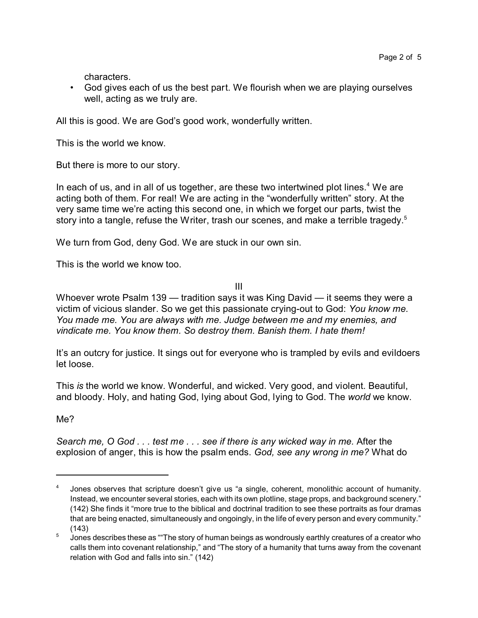characters.

• God gives each of us the best part. We flourish when we are playing ourselves well, acting as we truly are.

All this is good. We are God's good work, wonderfully written.

This is the world we know.

But there is more to our story.

In each of us, and in all of us together, are these two intertwined plot lines.<sup>4</sup> We are acting both of them. For real! We are acting in the "wonderfully written" story. At the very same time we're acting this second one, in which we forget our parts, twist the story into a tangle, refuse the Writer, trash our scenes, and make a terrible tragedy.<sup>5</sup>

We turn from God, deny God. We are stuck in our own sin.

This is the world we know too.

III

Whoever wrote Psalm 139 — tradition says it was King David — it seems they were a victim of vicious slander. So we get this passionate crying-out to God: *You know me. You made me. You are always with me. Judge between me and my enemies, and vindicate me. You know them. So destroy them. Banish them. I hate them!*

It's an outcry for justice. It sings out for everyone who is trampled by evils and evildoers let loose.

This *is* the world we know. Wonderful, and wicked. Very good, and violent. Beautiful, and bloody. Holy, and hating God, lying about God, lying to God. The *world* we know.

Me?

*Search me, O God . . . test me . . . see if there is any wicked way in me.* After the explosion of anger, this is how the psalm ends. *God, see any wrong in me?* What do

<sup>4</sup> Jones observes that scripture doesn't give us "a single, coherent, monolithic account of humanity. Instead, we encounter several stories, each with its own plotline, stage props, and background scenery." (142) She finds it "more true to the biblical and doctrinal tradition to see these portraits as four dramas that are being enacted, simultaneously and ongoingly, in the life of every person and every community." (143)

<sup>5</sup> Jones describes these as ""The story of human beings as wondrously earthly creatures of a creator who calls them into covenant relationship," and "The story of a humanity that turns away from the covenant relation with God and falls into sin." (142)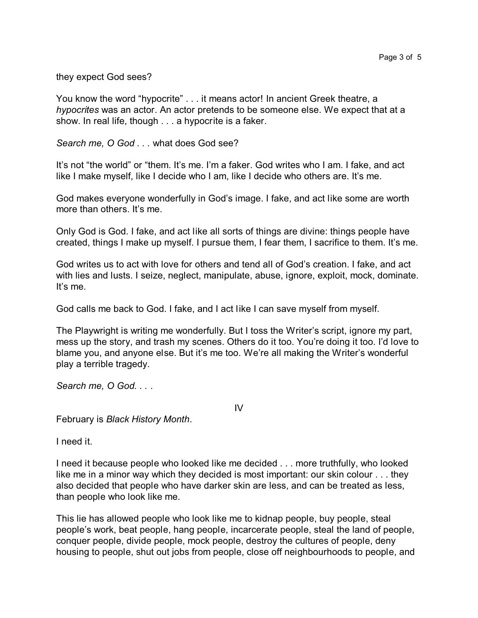they expect God sees?

You know the word "hypocrite" . . . it means actor! In ancient Greek theatre, a *hypocrites* was an actor. An actor pretends to be someone else. We expect that at a show. In real life, though . . . a hypocrite is a faker.

*Search me, O God . . .* what does God see?

It's not "the world" or "them. It's me. I'm a faker. God writes who I am. I fake, and act like I make myself, like I decide who I am, like I decide who others are. It's me.

God makes everyone wonderfully in God's image. I fake, and act like some are worth more than others. It's me.

Only God is God. I fake, and act like all sorts of things are divine: things people have created, things I make up myself. I pursue them, I fear them, I sacrifice to them. It's me.

God writes us to act with love for others and tend all of God's creation. I fake, and act with lies and lusts. I seize, neglect, manipulate, abuse, ignore, exploit, mock, dominate. It's me.

God calls me back to God. I fake, and I act like I can save myself from myself.

The Playwright is writing me wonderfully. But I toss the Writer's script, ignore my part, mess up the story, and trash my scenes. Others do it too. You're doing it too. I'd love to blame you, and anyone else. But it's me too. We're all making the Writer's wonderful play a terrible tragedy.

*Search me, O God. . .* .

IV

February is *Black History Month*.

I need it.

I need it because people who looked like me decided . . . more truthfully, who looked like me in a minor way which they decided is most important: our skin colour . . . they also decided that people who have darker skin are less, and can be treated as less, than people who look like me.

This lie has allowed people who look like me to kidnap people, buy people, steal people's work, beat people, hang people, incarcerate people, steal the land of people, conquer people, divide people, mock people, destroy the cultures of people, deny housing to people, shut out jobs from people, close off neighbourhoods to people, and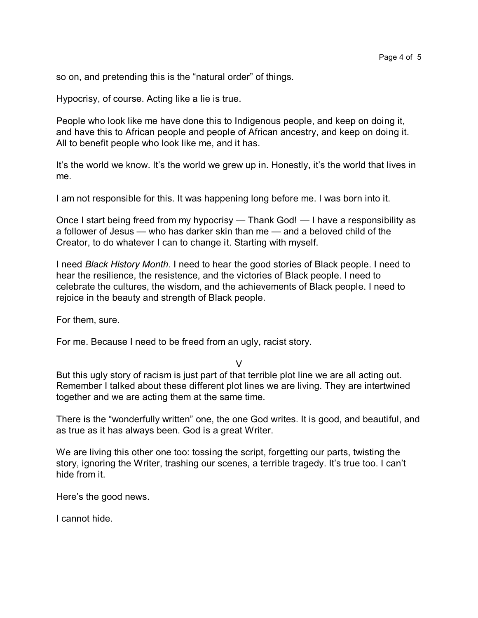so on, and pretending this is the "natural order" of things.

Hypocrisy, of course. Acting like a lie is true.

People who look like me have done this to Indigenous people, and keep on doing it, and have this to African people and people of African ancestry, and keep on doing it. All to benefit people who look like me, and it has.

It's the world we know. It's the world we grew up in. Honestly, it's the world that lives in me.

I am not responsible for this. It was happening long before me. I was born into it.

Once I start being freed from my hypocrisy — Thank God! — I have a responsibility as a follower of Jesus — who has darker skin than me — and a beloved child of the Creator, to do whatever I can to change it. Starting with myself.

I need *Black History Month*. I need to hear the good stories of Black people. I need to hear the resilience, the resistence, and the victories of Black people. I need to celebrate the cultures, the wisdom, and the achievements of Black people. I need to rejoice in the beauty and strength of Black people.

For them, sure.

For me. Because I need to be freed from an ugly, racist story.

V

But this ugly story of racism is just part of that terrible plot line we are all acting out. Remember I talked about these different plot lines we are living. They are intertwined together and we are acting them at the same time.

There is the "wonderfully written" one, the one God writes. It is good, and beautiful, and as true as it has always been. God is a great Writer.

We are living this other one too: tossing the script, forgetting our parts, twisting the story, ignoring the Writer, trashing our scenes, a terrible tragedy. It's true too. I can't hide from it.

Here's the good news.

I cannot hide.